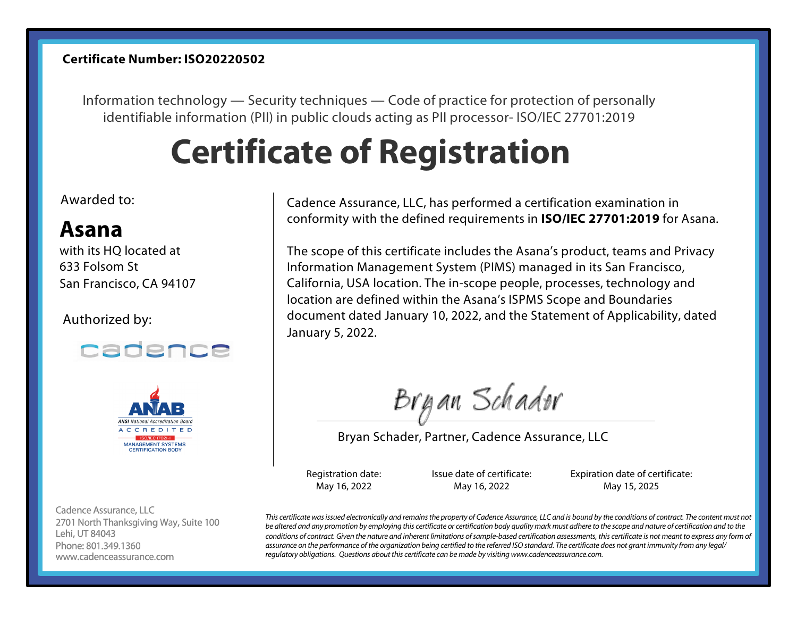#### **Certificate Number: ISO20220502**

Information technology — Security techniques — Code of practice for protection of personally identifiable information (PII) in public clouds acting as PII processor- ISO/IEC 27701:2019

# **Certificate of Registration**

## Awarded to:

# **Asana**

with its HQ located at 633 Folsom St San Francisco, CA 94107

### Authorized by:





Cadence Assurance, LLC 2701 North Thanksgiving Way, Suite 100 Lehi, UT 84043 Phone: 801.349.1360 www.cadenceassurance.com

Cadence Assurance, LLC, has performed a certification examination in conformity with the defined requirements in **ISO/IEC 27701:2019** for Asana.

The scope of this certificate includes the Asana's product, teams and Privacy Information Management System (PIMS) managed in its San Francisco, California, USA location. The in-scope people, processes, technology and location are defined within the Asana's ISPMS Scope and Boundaries document dated January 10, 2022, and the Statement of Applicability, dated January 5, 2022.

Brgan Schader

Bryan Schader, Partner, Cadence Assurance, LLC

Registration date: May 16, 2022

Issue date of certificate: May 16, 2022

Expiration date of certificate: May 15, 2025

*This certificate was issued electronically and remains the property of Cadence Assurance, LLC and is bound by the conditions of contract. The content must not be altered and any promotion by employing this certificate or certification body quality mark must adhere to the scope and nature of certification and to the*  conditions of contract. Given the nature and inherent limitations of sample-based certification assessments, this certificate is not meant to express any form of *assurance on the performance of the organization being certified to the referred ISO standard. The certificate does not grant immunity from any legal/ regulatory obligations. Questions about this certificate can be made by visiting www.cadenceassurance.com.*